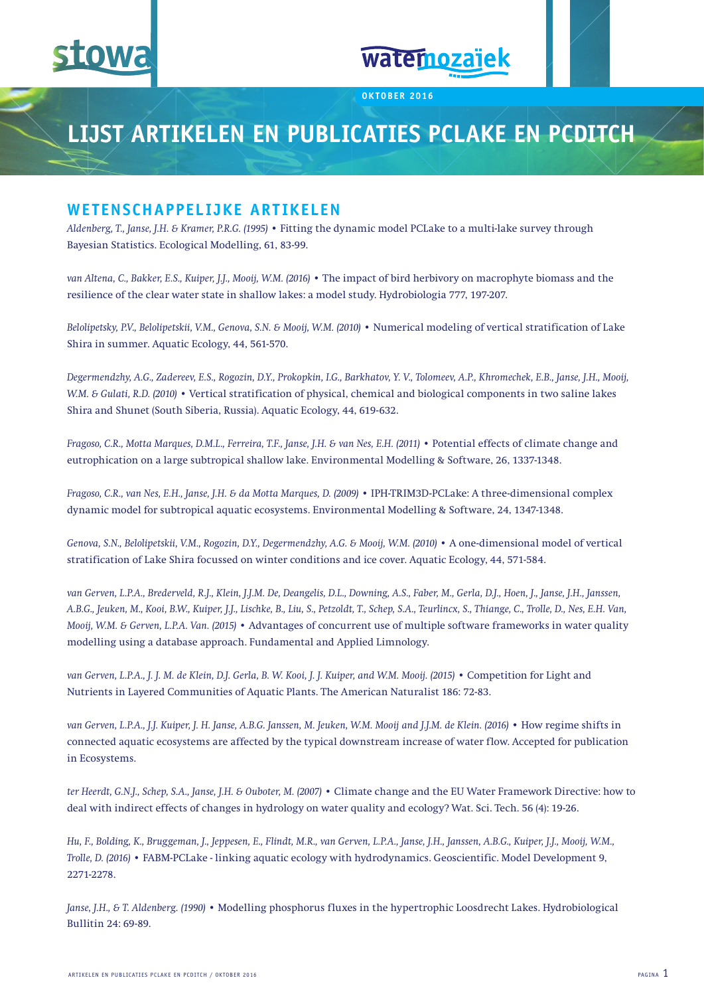

# watemozaïek

**oktober 2016**

## **Lijst artikelen en publicaties PCLake en PCDitch**

#### **Wetenschappelijke artikelen**

*Aldenberg, T., Janse, J.H. & Kramer, P.R.G. (1995)* • Fitting the dynamic model PCLake to a multi-lake survey through Bayesian Statistics. Ecological Modelling, 61, 83-99.

*van Altena, C., Bakker, E.S., Kuiper, J.J., Mooij, W.M. (2016)* • The impact of bird herbivory on macrophyte biomass and the resilience of the clear water state in shallow lakes: a model study. Hydrobiologia 777, 197-207.

*Belolipetsky, P.V., Belolipetskii, V.M., Genova, S.N. & Mooij, W.M. (2010)* • Numerical modeling of vertical stratification of Lake Shira in summer. Aquatic Ecology, 44, 561-570.

*Degermendzhy, A.G., Zadereev, E.S., Rogozin, D.Y., Prokopkin, I.G., Barkhatov, Y. V., Tolomeev, A.P., Khromechek, E.B., Janse, J.H., Mooij, W.M. & Gulati, R.D. (2010) •* Vertical stratification of physical, chemical and biological components in two saline lakes Shira and Shunet (South Siberia, Russia). Aquatic Ecology, 44, 619-632.

*Fragoso, C.R., Motta Marques, D.M.L., Ferreira, T.F., Janse, J.H. & van Nes, E.H. (2011)* • Potential effects of climate change and eutrophication on a large subtropical shallow lake. Environmental Modelling & Software, 26, 1337-1348.

*Fragoso, C.R., van Nes, E.H., Janse, J.H. & da Motta Marques, D. (2009)* • IPH-TRIM3D-PCLake: A three-dimensional complex dynamic model for subtropical aquatic ecosystems. Environmental Modelling & Software, 24, 1347-1348.

*Genova, S.N., Belolipetskii, V.M., Rogozin, D.Y., Degermendzhy, A.G. & Mooij, W.M. (2010) •* A one-dimensional model of vertical stratification of Lake Shira focussed on winter conditions and ice cover. Aquatic Ecology, 44, 571-584.

*van Gerven, L.P.A., Brederveld, R.J., Klein, J.J.M. De, Deangelis, D.L., Downing, A.S., Faber, M., Gerla, D.J., Hoen, J., Janse, J.H., Janssen, A.B.G., Jeuken, M., Kooi, B.W., Kuiper, J.J., Lischke, B., Liu, S., Petzoldt, T., Schep, S.A., Teurlincx, S., Thiange, C., Trolle, D., Nes, E.H. Van, Mooij, W.M. & Gerven, L.P.A. Van. (2015)* • Advantages of concurrent use of multiple software frameworks in water quality modelling using a database approach. Fundamental and Applied Limnology.

*van Gerven, L.P.A., J. J. M. de Klein, D.J. Gerla, B. W. Kooi, J. J. Kuiper, and W.M. Mooij. (2015) •* Competition for Light and Nutrients in Layered Communities of Aquatic Plants. The American Naturalist 186: 72-83.

*van Gerven, L.P.A., J.J. Kuiper, J. H. Janse, A.B.G. Janssen, M. Jeuken, W.M. Mooij and J.J.M. de Klein. (2016)* • How regime shifts in connected aquatic ecosystems are affected by the typical downstream increase of water flow. Accepted for publication in Ecosystems.

*ter Heerdt, G.N.J., Schep, S.A., Janse, J.H. & Ouboter, M. (2007)* • Climate change and the EU Water Framework Directive: how to deal with indirect effects of changes in hydrology on water quality and ecology? Wat. Sci. Tech. 56 (4): 19-26.

*Hu, F., Bolding, K., Bruggeman, J., Jeppesen, E., Flindt, M.R., van Gerven, L.P.A., Janse, J.H., Janssen, A.B.G., Kuiper, J.J., Mooij, W.M., Trolle, D. (2016)* • FABM-PCLake - linking aquatic ecology with hydrodynamics. Geoscientific. Model Development 9, 2271-2278.

*Janse, J.H., & T. Aldenberg. (1990) •* Modelling phosphorus fluxes in the hypertrophic Loosdrecht Lakes. Hydrobiological Bullitin 24: 69-89.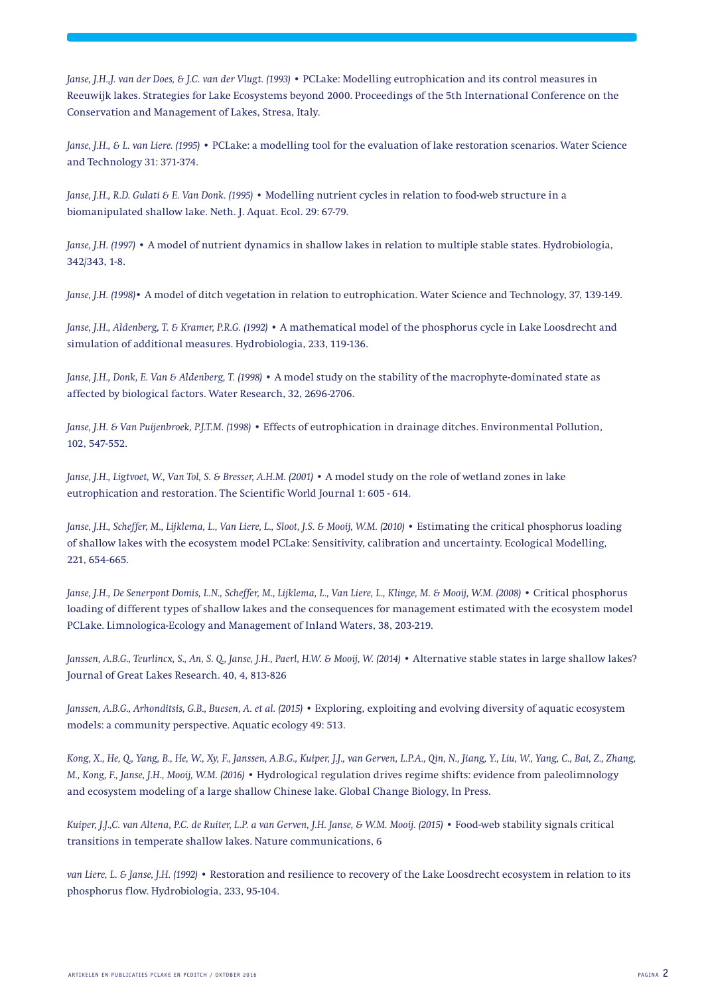*Janse, J.H.,J. van der Does, & J.C. van der Vlugt. (1993) •* PCLake: Modelling eutrophication and its control measures in Reeuwijk lakes. Strategies for Lake Ecosystems beyond 2000. Proceedings of the 5th International Conference on the Conservation and Management of Lakes, Stresa, Italy.

*Janse, J.H., & L. van Liere. (1995) •* PCLake: a modelling tool for the evaluation of lake restoration scenarios. Water Science and Technology 31: 371-374.

*Janse, J.H., R.D. Gulati & E. Van Donk. (1995) •* Modelling nutrient cycles in relation to food-web structure in a biomanipulated shallow lake. Neth. J. Aquat. Ecol. 29: 67-79.

*Janse, J.H. (1997)* • A model of nutrient dynamics in shallow lakes in relation to multiple stable states. Hydrobiologia, 342/343, 1-8.

*Janse, J.H. (1998)*• A model of ditch vegetation in relation to eutrophication. Water Science and Technology, 37, 139-149.

*Janse, J.H., Aldenberg, T. & Kramer, P.R.G. (1992)* • A mathematical model of the phosphorus cycle in Lake Loosdrecht and simulation of additional measures. Hydrobiologia, 233, 119-136.

*Janse, J.H., Donk, E. Van & Aldenberg, T. (1998)* • A model study on the stability of the macrophyte-dominated state as affected by biological factors. Water Research, 32, 2696-2706.

*Janse, J.H. & Van Puijenbroek, P.J.T.M. (1998) •* Effects of eutrophication in drainage ditches. Environmental Pollution, 102, 547-552.

*Janse, J.H., Ligtvoet, W., Van Tol, S. & Bresser, A.H.M. (2001) •* A model study on the role of wetland zones in lake eutrophication and restoration. The Scientific World Journal 1: 605 - 614.

*Janse, J.H., Scheffer, M., Lijklema, L., Van Liere, L., Sloot, J.S. & Mooij, W.M. (2010) •* Estimating the critical phosphorus loading of shallow lakes with the ecosystem model PCLake: Sensitivity, calibration and uncertainty. Ecological Modelling, 221, 654-665.

*Janse, J.H., De Senerpont Domis, L.N., Scheffer, M., Lijklema, L., Van Liere, L., Klinge, M. & Mooij, W.M. (2008)* • Critical phosphorus loading of different types of shallow lakes and the consequences for management estimated with the ecosystem model PCLake. Limnologica-Ecology and Management of Inland Waters, 38, 203-219.

*Janssen, A.B.G., Teurlincx, S., An, S. Q., Janse, J.H., Paerl, H.W. & Mooij, W. (2014)* • Alternative stable states in large shallow lakes? Journal of Great Lakes Research. 40, 4, 813-826

*Janssen, A.B.G., Arhonditsis, G.B., Buesen, A. et al. (2015) •* Exploring, exploiting and evolving diversity of aquatic ecosystem models: a community perspective. Aquatic ecology 49: 513.

*Kong, X., He, Q., Yang, B., He, W., Xy, F., Janssen, A.B.G., Kuiper, J.J., van Gerven, L.P.A., Qin, N., Jiang, Y., Liu, W., Yang, C., Bai, Z., Zhang, M., Kong, F., Janse, J.H., Mooij, W.M. (2016) •* Hydrological regulation drives regime shifts: evidence from paleolimnology and ecosystem modeling of a large shallow Chinese lake. Global Change Biology, In Press.

*Kuiper, J.J.,C. van Altena, P.C. de Ruiter, L.P. a van Gerven, J.H. Janse, & W.M. Mooij. (2015) •* Food-web stability signals critical transitions in temperate shallow lakes. Nature communications, 6

*van Liere, L. & Janse, J.H. (1992) •* Restoration and resilience to recovery of the Lake Loosdrecht ecosystem in relation to its phosphorus flow. Hydrobiologia, 233, 95-104.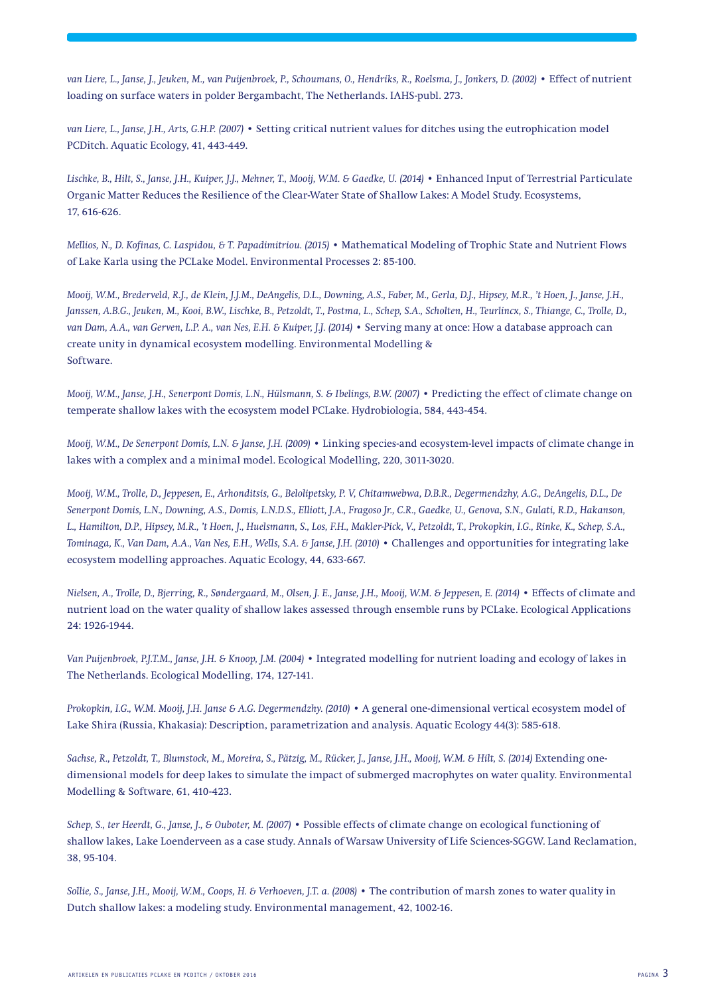*van Liere, L., Janse, J., Jeuken, M., van Puijenbroek, P., Schoumans, O., Hendriks, R., Roelsma, J., Jonkers, D. (2002) •* Effect of nutrient loading on surface waters in polder Bergambacht, The Netherlands. IAHS-publ. 273.

*van Liere, L., Janse, J.H., Arts, G.H.P. (2007)* • Setting critical nutrient values for ditches using the eutrophication model PCDitch. Aquatic Ecology, 41, 443-449.

*Lischke, B., Hilt, S., Janse, J.H., Kuiper, J.J., Mehner, T., Mooij, W.M. & Gaedke, U. (2014)* • Enhanced Input of Terrestrial Particulate Organic Matter Reduces the Resilience of the Clear-Water State of Shallow Lakes: A Model Study. Ecosystems, 17, 616-626.

*Mellios, N., D. Kofinas, C. Laspidou, & T. Papadimitriou. (2015)* • Mathematical Modeling of Trophic State and Nutrient Flows of Lake Karla using the PCLake Model. Environmental Processes 2: 85-100.

*Mooij, W.M., Brederveld, R.J., de Klein, J.J.M., DeAngelis, D.L., Downing, A.S., Faber, M., Gerla, D.J., Hipsey, M.R., 't Hoen, J., Janse, J.H., Janssen, A.B.G., Jeuken, M., Kooi, B.W., Lischke, B., Petzoldt, T., Postma, L., Schep, S.A., Scholten, H., Teurlincx, S., Thiange, C., Trolle, D., van Dam, A.A., van Gerven, L.P. A., van Nes, E.H. & Kuiper, J.J. (2014)* • Serving many at once: How a database approach can create unity in dynamical ecosystem modelling. Environmental Modelling & Software.

*Mooij, W.M., Janse, J.H., Senerpont Domis, L.N., Hülsmann, S. & Ibelings, B.W. (2007)* • Predicting the effect of climate change on temperate shallow lakes with the ecosystem model PCLake. Hydrobiologia, 584, 443-454.

*Mooij, W.M., De Senerpont Domis, L.N. & Janse, J.H. (2009)* • Linking species-and ecosystem-level impacts of climate change in lakes with a complex and a minimal model. Ecological Modelling, 220, 3011-3020.

*Mooij, W.M., Trolle, D., Jeppesen, E., Arhonditsis, G., Belolipetsky, P. V, Chitamwebwa, D.B.R., Degermendzhy, A.G., DeAngelis, D.L., De Senerpont Domis, L.N., Downing, A.S., Domis, L.N.D.S., Elliott, J.A., Fragoso Jr., C.R., Gaedke, U., Genova, S.N., Gulati, R.D., Hakanson, L., Hamilton, D.P., Hipsey, M.R., 't Hoen, J., Huelsmann, S., Los, F.H., Makler-Pick, V., Petzoldt, T., Prokopkin, I.G., Rinke, K., Schep, S.A., Tominaga, K., Van Dam, A.A., Van Nes, E.H., Wells, S.A. & Janse, J.H. (2010)* • Challenges and opportunities for integrating lake ecosystem modelling approaches. Aquatic Ecology, 44, 633-667.

*Nielsen, A., Trolle, D., Bjerring, R., Søndergaard, M., Olsen, J. E., Janse, J.H., Mooij, W.M. & Jeppesen, E. (2014)* • Effects of climate and nutrient load on the water quality of shallow lakes assessed through ensemble runs by PCLake. Ecological Applications 24: 1926-1944.

*Van Puijenbroek, P.J.T.M., Janse, J.H. & Knoop, J.M. (2004)* • Integrated modelling for nutrient loading and ecology of lakes in The Netherlands. Ecological Modelling, 174, 127-141.

*Prokopkin, I.G., W.M. Mooij, J.H. Janse & A.G. Degermendzhy. (2010) •* A general one-dimensional vertical ecosystem model of Lake Shira (Russia, Khakasia): Description, parametrization and analysis. Aquatic Ecology 44(3): 585-618.

*Sachse, R., Petzoldt, T., Blumstock, M., Moreira, S., Pätzig, M., Rücker, J., Janse, J.H., Mooij, W.M. & Hilt, S. (2014)* Extending onedimensional models for deep lakes to simulate the impact of submerged macrophytes on water quality. Environmental Modelling & Software, 61, 410-423.

*Schep, S., ter Heerdt, G., Janse, J., & Ouboter, M. (2007) •* Possible effects of climate change on ecological functioning of shallow lakes, Lake Loenderveen as a case study. Annals of Warsaw University of Life Sciences-SGGW. Land Reclamation, 38, 95-104.

*Sollie, S., Janse, J.H., Mooij, W.M., Coops, H. & Verhoeven, J.T. a. (2008) •* The contribution of marsh zones to water quality in Dutch shallow lakes: a modeling study. Environmental management, 42, 1002-16.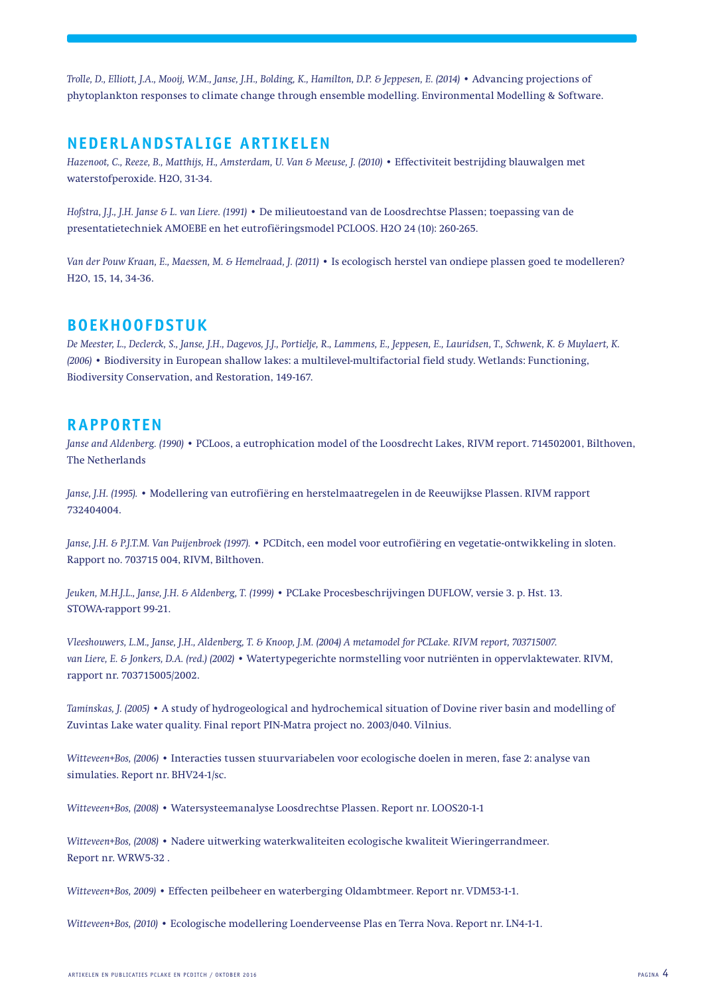*Trolle, D., Elliott, J.A., Mooij, W.M., Janse, J.H., Bolding, K., Hamilton, D.P. & Jeppesen, E. (2014)* • Advancing projections of phytoplankton responses to climate change through ensemble modelling. Environmental Modelling & Software.

### **Nederlandstalige artikelen**

*Hazenoot, C., Reeze, B., Matthijs, H., Amsterdam, U. Van & Meeuse, J. (2010)* • Effectiviteit bestrijding blauwalgen met waterstofperoxide. H2O, 31-34.

*Hofstra, J.J., J.H. Janse & L. van Liere. (1991) •* De milieutoestand van de Loosdrechtse Plassen; toepassing van de presentatietechniek AMOEBE en het eutrofiëringsmodel PCLOOS. H2O 24 (10): 260-265.

*Van der Pouw Kraan, E., Maessen, M. & Hemelraad, J. (2011)* • Is ecologisch herstel van ondiepe plassen goed te modelleren? H2O, 15, 14, 34-36.

## **Boekhoofdstuk**

*De Meester, L., Declerck, S., Janse, J.H., Dagevos, J.J., Portielje, R., Lammens, E., Jeppesen, E., Lauridsen, T., Schwenk, K. & Muylaert, K. (2006)* • Biodiversity in European shallow lakes: a multilevel-multifactorial field study. Wetlands: Functioning, Biodiversity Conservation, and Restoration, 149-167.

#### **Rapporten**

*Janse and Aldenberg. (1990) •* PCLoos, a eutrophication model of the Loosdrecht Lakes, RIVM report. 714502001, Bilthoven, The Netherlands

*Janse, J.H. (1995).* • Modellering van eutrofiëring en herstelmaatregelen in de Reeuwijkse Plassen. RIVM rapport 732404004.

*Janse, J.H. & P.J.T.M. Van Puijenbroek (1997).* • PCDitch, een model voor eutrofiëring en vegetatie-ontwikkeling in sloten. Rapport no. 703715 004, RIVM, Bilthoven.

*Jeuken, M.H.J.L., Janse, J.H. & Aldenberg, T. (1999)* • PCLake Procesbeschrijvingen DUFLOW, versie 3. p. Hst. 13. STOWA-rapport 99-21.

*Vleeshouwers, L.M., Janse, J.H., Aldenberg, T. & Knoop, J.M. (2004) A metamodel for PCLake. RIVM report, 703715007. van Liere, E. & Jonkers, D.A. (red.) (2002)* • Watertypegerichte normstelling voor nutriënten in oppervlaktewater. RIVM, rapport nr. 703715005/2002.

*Taminskas, J. (2005) •* A study of hydrogeological and hydrochemical situation of Dovine river basin and modelling of Zuvintas Lake water quality. Final report PIN-Matra project no. 2003/040. Vilnius.

*Witteveen+Bos, (2006)* • Interacties tussen stuurvariabelen voor ecologische doelen in meren, fase 2: analyse van simulaties. Report nr. BHV24-1/sc.

*Witteveen+Bos, (2008)* • Watersysteemanalyse Loosdrechtse Plassen. Report nr. LOOS20-1-1

*Witteveen+Bos, (2008)* • Nadere uitwerking waterkwaliteiten ecologische kwaliteit Wieringerrandmeer. Report nr. WRW5-32 .

*Witteveen+Bos, 2009)* • Effecten peilbeheer en waterberging Oldambtmeer. Report nr. VDM53-1-1.

*Witteveen+Bos, (2010) •* Ecologische modellering Loenderveense Plas en Terra Nova. Report nr. LN4-1-1.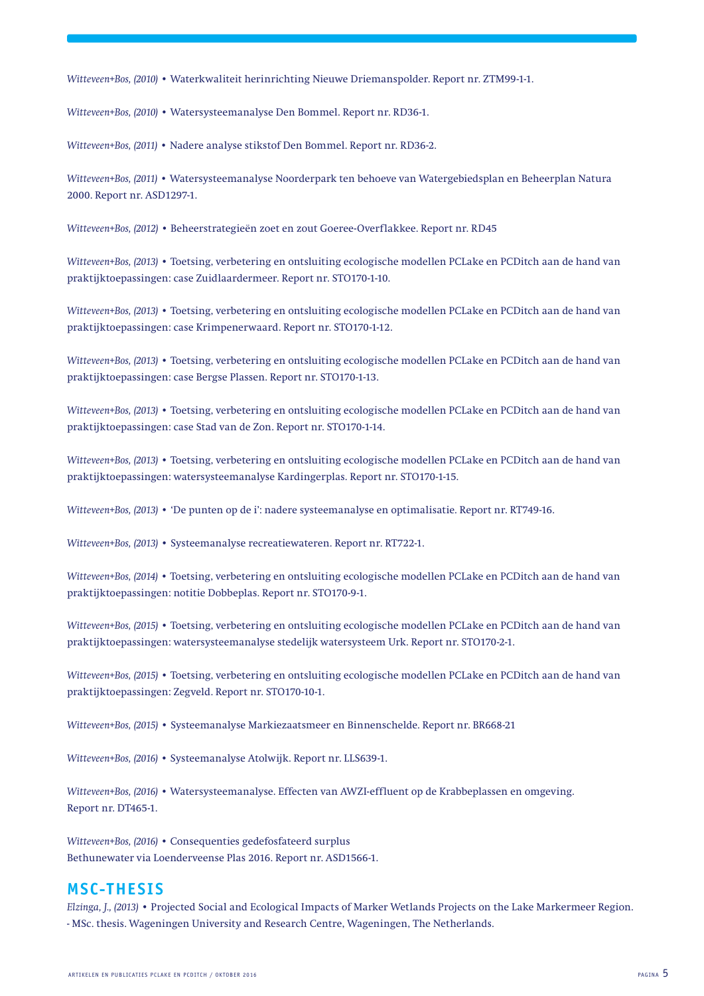*Witteveen+Bos, (2010)* • Waterkwaliteit herinrichting Nieuwe Driemanspolder. Report nr. ZTM99-1-1.

*Witteveen+Bos, (2010)* • Watersysteemanalyse Den Bommel. Report nr. RD36-1.

*Witteveen+Bos, (2011)* • Nadere analyse stikstof Den Bommel. Report nr. RD36-2.

*Witteveen+Bos, (2011) •* Watersysteemanalyse Noorderpark ten behoeve van Watergebiedsplan en Beheerplan Natura 2000. Report nr. ASD1297-1.

*Witteveen+Bos, (2012) •* Beheerstrategieën zoet en zout Goeree-Overflakkee. Report nr. RD45

*Witteveen+Bos, (2013)* • Toetsing, verbetering en ontsluiting ecologische modellen PCLake en PCDitch aan de hand van praktijktoepassingen: case Zuidlaardermeer. Report nr. STO170-1-10.

*Witteveen+Bos, (2013)* • Toetsing, verbetering en ontsluiting ecologische modellen PCLake en PCDitch aan de hand van praktijktoepassingen: case Krimpenerwaard. Report nr. STO170-1-12.

*Witteveen+Bos, (2013)* • Toetsing, verbetering en ontsluiting ecologische modellen PCLake en PCDitch aan de hand van praktijktoepassingen: case Bergse Plassen. Report nr. STO170-1-13.

*Witteveen+Bos, (2013)* • Toetsing, verbetering en ontsluiting ecologische modellen PCLake en PCDitch aan de hand van praktijktoepassingen: case Stad van de Zon. Report nr. STO170-1-14.

*Witteveen+Bos, (2013)* • Toetsing, verbetering en ontsluiting ecologische modellen PCLake en PCDitch aan de hand van praktijktoepassingen: watersysteemanalyse Kardingerplas. Report nr. STO170-1-15.

*Witteveen+Bos, (2013)* • 'De punten op de i': nadere systeemanalyse en optimalisatie. Report nr. RT749-16.

*Witteveen+Bos, (2013)* • Systeemanalyse recreatiewateren. Report nr. RT722-1.

*Witteveen+Bos, (2014)* • Toetsing, verbetering en ontsluiting ecologische modellen PCLake en PCDitch aan de hand van praktijktoepassingen: notitie Dobbeplas. Report nr. STO170-9-1.

*Witteveen+Bos, (2015)* • Toetsing, verbetering en ontsluiting ecologische modellen PCLake en PCDitch aan de hand van praktijktoepassingen: watersysteemanalyse stedelijk watersysteem Urk. Report nr. STO170-2-1.

*Witteveen+Bos, (2015)* • Toetsing, verbetering en ontsluiting ecologische modellen PCLake en PCDitch aan de hand van praktijktoepassingen: Zegveld. Report nr. STO170-10-1.

*Witteveen+Bos, (2015) •* Systeemanalyse Markiezaatsmeer en Binnenschelde. Report nr. BR668-21

*Witteveen+Bos, (2016)* • Systeemanalyse Atolwijk. Report nr. LLS639-1.

*Witteveen+Bos, (2016) •* Watersysteemanalyse. Effecten van AWZI-effluent op de Krabbeplassen en omgeving. Report nr. DT465-1.

*Witteveen+Bos, (2016)* • Consequenties gedefosfateerd surplus Bethunewater via Loenderveense Plas 2016. Report nr. ASD1566-1.

#### **MSc-thesis**

*Elzinga, J., (2013) •* Projected Social and Ecological Impacts of Marker Wetlands Projects on the Lake Markermeer Region. - MSc. thesis. Wageningen University and Research Centre, Wageningen, The Netherlands.